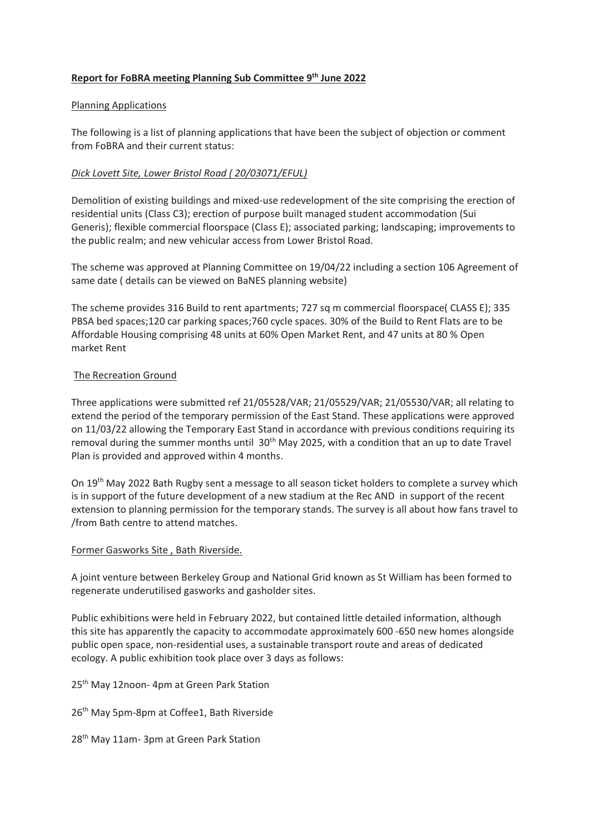# **Report for FoBRA meeting Planning Sub Committee 9 th June 2022**

## Planning Applications

The following is a list of planning applications that have been the subject of objection or comment from FoBRA and their current status:

# *Dick Lovett Site, Lower Bristol Road ( 20/03071/EFUL)*

Demolition of existing buildings and mixed-use redevelopment of the site comprising the erection of residential units (Class C3); erection of purpose built managed student accommodation (Sui Generis); flexible commercial floorspace (Class E); associated parking; landscaping; improvements to the public realm; and new vehicular access from Lower Bristol Road.

The scheme was approved at Planning Committee on 19/04/22 including a section 106 Agreement of same date ( details can be viewed on BaNES planning website)

The scheme provides 316 Build to rent apartments; 727 sq m commercial floorspace( CLASS E); 335 PBSA bed spaces;120 car parking spaces;760 cycle spaces. 30% of the Build to Rent Flats are to be Affordable Housing comprising 48 units at 60% Open Market Rent, and 47 units at 80 % Open market Rent

## The Recreation Ground

Three applications were submitted ref 21/05528/VAR; 21/05529/VAR; 21/05530/VAR; all relating to extend the period of the temporary permission of the East Stand. These applications were approved on 11/03/22 allowing the Temporary East Stand in accordance with previous conditions requiring its removal during the summer months until 30<sup>th</sup> May 2025, with a condition that an up to date Travel Plan is provided and approved within 4 months.

On 19th May 2022 Bath Rugby sent a message to all season ticket holders to complete a survey which is in support of the future development of a new stadium at the Rec AND in support of the recent extension to planning permission for the temporary stands. The survey is all about how fans travel to /from Bath centre to attend matches.

#### Former Gasworks Site , Bath Riverside.

A joint venture between Berkeley Group and National Grid known as St William has been formed to regenerate underutilised gasworks and gasholder sites.

Public exhibitions were held in February 2022, but contained little detailed information, although this site has apparently the capacity to accommodate approximately 600 -650 new homes alongside public open space, non-residential uses, a sustainable transport route and areas of dedicated ecology. A public exhibition took place over 3 days as follows:

25<sup>th</sup> May 12noon- 4pm at Green Park Station

26<sup>th</sup> May 5pm-8pm at Coffee1, Bath Riverside

28<sup>th</sup> May 11am- 3pm at Green Park Station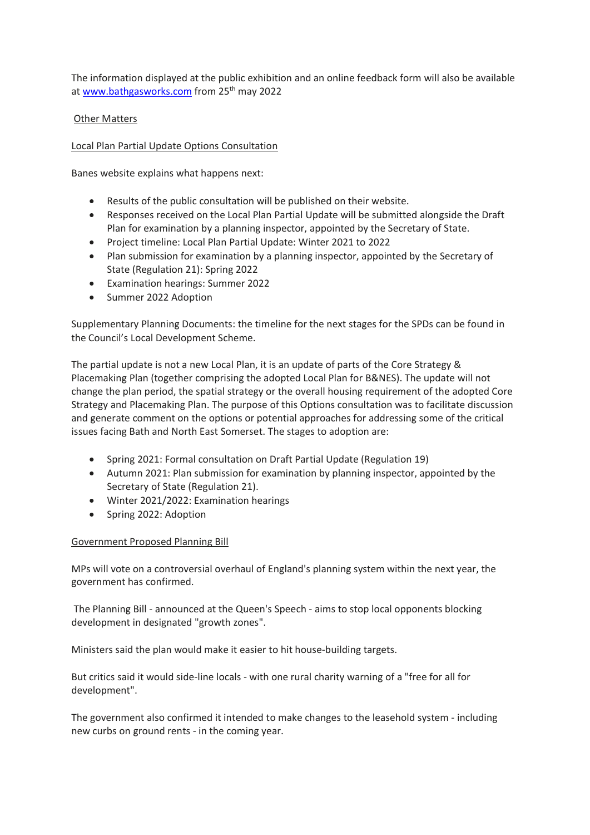The information displayed at the public exhibition and an online feedback form will also be available at [www.bathgasworks.com](https://nam12.safelinks.protection.outlook.com/?url=http%3A%2F%2Fwww.bathgasworks.com%2F&data=05%7C01%7C%7C5e88032fef4a4c89896108da47c45c7f%7C84df9e7fe9f640afb435aaaaaaaaaaaa%7C1%7C0%7C637901205931771501%7CUnknown%7CTWFpbGZsb3d8eyJWIjoiMC4wLjAwMDAiLCJQIjoiV2luMzIiLCJBTiI6Ik1haWwiLCJXVCI6Mn0%3D%7C3000%7C%7C%7C&sdata=N6MUaG%2Frqt4roWmv2SEv6nq%2FVNh3bhAJMAIhGVVyOOI%3D&reserved=0) from 25<sup>th</sup> may 2022

# Other Matters

# Local Plan Partial Update Options Consultation

Banes website explains what happens next:

- Results of the public consultation will be published on their website.
- Responses received on the Local Plan Partial Update will be submitted alongside the Draft Plan for examination by a planning inspector, appointed by the Secretary of State.
- Project timeline: Local Plan Partial Update: Winter 2021 to 2022
- Plan submission for examination by a planning inspector, appointed by the Secretary of State (Regulation 21): Spring 2022
- Examination hearings: Summer 2022
- Summer 2022 Adoption

Supplementary Planning Documents: the timeline for the next stages for the SPDs can be found in the Council's Local Development Scheme.

The partial update is not a new Local Plan, it is an update of parts of the Core Strategy & Placemaking Plan (together comprising the adopted Local Plan for B&NES). The update will not change the plan period, the spatial strategy or the overall housing requirement of the adopted Core Strategy and Placemaking Plan. The purpose of this Options consultation was to facilitate discussion and generate comment on the options or potential approaches for addressing some of the critical issues facing Bath and North East Somerset. The stages to adoption are:

- Spring 2021: Formal consultation on Draft Partial Update (Regulation 19)
- Autumn 2021: Plan submission for examination by planning inspector, appointed by the Secretary of State (Regulation 21).
- Winter 2021/2022: Examination hearings
- Spring 2022: Adoption

## Government Proposed Planning Bill

MPs will vote on a controversial overhaul of England's planning system within the next year, the government has confirmed.

The Planning Bill - announced at the Queen's Speech - aims to stop local opponents blocking development in designated "growth zones".

Ministers said the plan would make it easier to hit house-building targets.

But critics said it would side-line locals - with one rural charity warning of a "free for all for development".

The government also confirmed it intended to make changes to the leasehold system - including new curbs on ground rents - in the coming year.